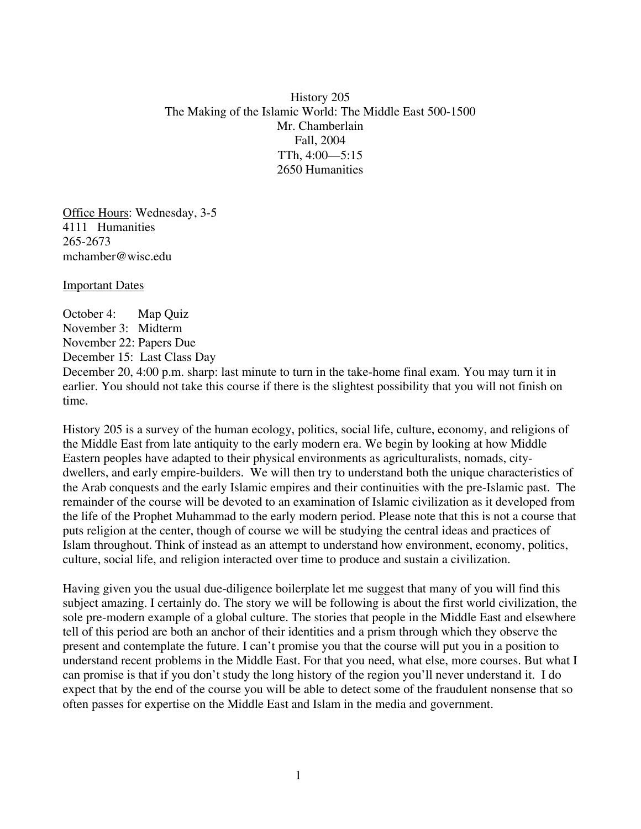History 205 The Making of the Islamic World: The Middle East 500-1500 Mr. Chamberlain Fall, 2004 TTh, 4:00—5:15 2650 Humanities

Office Hours: Wednesday, 3-5 4111 Humanities 265-2673 mchamber@wisc.edu

Important Dates

October 4: Map Quiz November 3: Midterm November 22: Papers Due December 15: Last Class Day December 20, 4:00 p.m. sharp: last minute to turn in the take-home final exam. You may turn it in earlier. You should not take this course if there is the slightest possibility that you will not finish on time.

History 205 is a survey of the human ecology, politics, social life, culture, economy, and religions of the Middle East from late antiquity to the early modern era. We begin by looking at how Middle Eastern peoples have adapted to their physical environments as agriculturalists, nomads, citydwellers, and early empire-builders. We will then try to understand both the unique characteristics of the Arab conquests and the early Islamic empires and their continuities with the pre-Islamic past. The remainder of the course will be devoted to an examination of Islamic civilization as it developed from the life of the Prophet Muhammad to the early modern period. Please note that this is not a course that puts religion at the center, though of course we will be studying the central ideas and practices of Islam throughout. Think of instead as an attempt to understand how environment, economy, politics, culture, social life, and religion interacted over time to produce and sustain a civilization.

Having given you the usual due-diligence boilerplate let me suggest that many of you will find this subject amazing. I certainly do. The story we will be following is about the first world civilization, the sole pre-modern example of a global culture. The stories that people in the Middle East and elsewhere tell of this period are both an anchor of their identities and a prism through which they observe the present and contemplate the future. I can't promise you that the course will put you in a position to understand recent problems in the Middle East. For that you need, what else, more courses. But what I can promise is that if you don't study the long history of the region you'll never understand it. I do expect that by the end of the course you will be able to detect some of the fraudulent nonsense that so often passes for expertise on the Middle East and Islam in the media and government.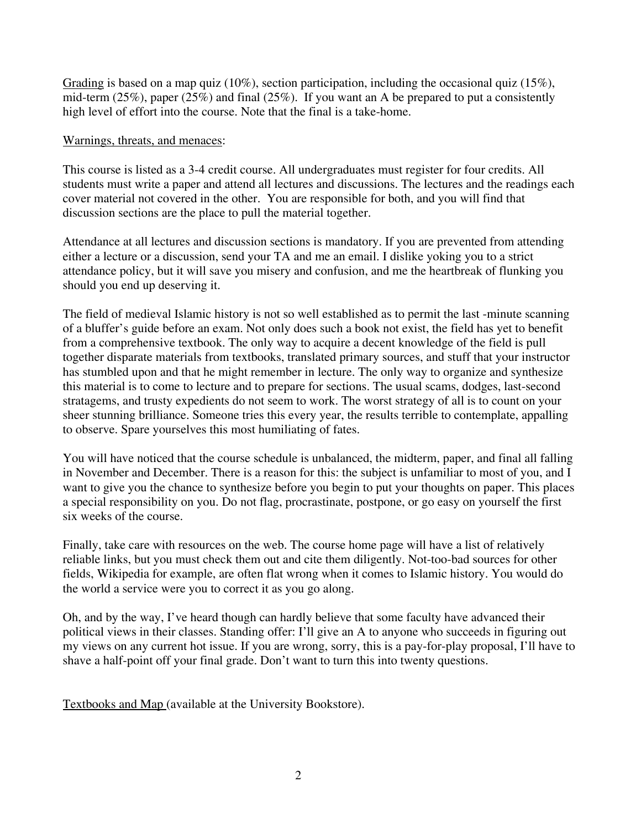Grading is based on a map quiz (10%), section participation, including the occasional quiz (15%), mid-term (25%), paper (25%) and final (25%). If you want an A be prepared to put a consistently high level of effort into the course. Note that the final is a take-home.

## Warnings, threats, and menaces:

This course is listed as a 3-4 credit course. All undergraduates must register for four credits. All students must write a paper and attend all lectures and discussions. The lectures and the readings each cover material not covered in the other. You are responsible for both, and you will find that discussion sections are the place to pull the material together.

Attendance at all lectures and discussion sections is mandatory. If you are prevented from attending either a lecture or a discussion, send your TA and me an email. I dislike yoking you to a strict attendance policy, but it will save you misery and confusion, and me the heartbreak of flunking you should you end up deserving it.

The field of medieval Islamic history is not so well established as to permit the last -minute scanning of a bluffer's guide before an exam. Not only does such a book not exist, the field has yet to benefit from a comprehensive textbook. The only way to acquire a decent knowledge of the field is pull together disparate materials from textbooks, translated primary sources, and stuff that your instructor has stumbled upon and that he might remember in lecture. The only way to organize and synthesize this material is to come to lecture and to prepare for sections. The usual scams, dodges, last-second stratagems, and trusty expedients do not seem to work. The worst strategy of all is to count on your sheer stunning brilliance. Someone tries this every year, the results terrible to contemplate, appalling to observe. Spare yourselves this most humiliating of fates.

You will have noticed that the course schedule is unbalanced, the midterm, paper, and final all falling in November and December. There is a reason for this: the subject is unfamiliar to most of you, and I want to give you the chance to synthesize before you begin to put your thoughts on paper. This places a special responsibility on you. Do not flag, procrastinate, postpone, or go easy on yourself the first six weeks of the course.

Finally, take care with resources on the web. The course home page will have a list of relatively reliable links, but you must check them out and cite them diligently. Not-too-bad sources for other fields, Wikipedia for example, are often flat wrong when it comes to Islamic history. You would do the world a service were you to correct it as you go along.

Oh, and by the way, I've heard though can hardly believe that some faculty have advanced their political views in their classes. Standing offer: I'll give an A to anyone who succeeds in figuring out my views on any current hot issue. If you are wrong, sorry, this is a pay-for-play proposal, I'll have to shave a half-point off your final grade. Don't want to turn this into twenty questions.

Textbooks and Map (available at the University Bookstore).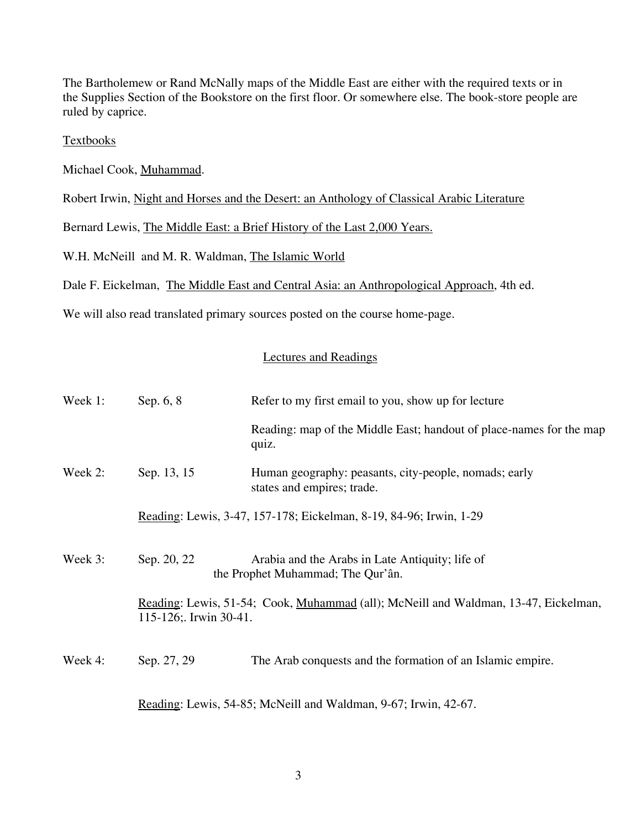The Bartholemew or Rand McNally maps of the Middle East are either with the required texts or in the Supplies Section of the Bookstore on the first floor. Or somewhere else. The book-store people are ruled by caprice.

## **Textbooks**

Michael Cook, Muhammad.

Robert Irwin, Night and Horses and the Desert: an Anthology of Classical Arabic Literature

Bernard Lewis, The Middle East: a Brief History of the Last 2,000 Years.

W.H. McNeill and M. R. Waldman, The Islamic World

Dale F. Eickelman, The Middle East and Central Asia: an Anthropological Approach, 4th ed.

We will also read translated primary sources posted on the course home-page.

## Lectures and Readings

| Week 1:                                                         | Sep. 6, 8                                                                                                    | Refer to my first email to you, show up for lecture                                  |
|-----------------------------------------------------------------|--------------------------------------------------------------------------------------------------------------|--------------------------------------------------------------------------------------|
|                                                                 |                                                                                                              | Reading: map of the Middle East; handout of place-names for the map<br>quiz.         |
| Week 2:                                                         | Sep. 13, 15                                                                                                  | Human geography: peasants, city-people, nomads; early<br>states and empires; trade.  |
|                                                                 | Reading: Lewis, 3-47, 157-178; Eickelman, 8-19, 84-96; Irwin, 1-29                                           |                                                                                      |
| Week 3:                                                         | Sep. 20, 22                                                                                                  | Arabia and the Arabs in Late Antiquity; life of<br>the Prophet Muhammad; The Qur'ân. |
|                                                                 | Reading: Lewis, 51-54; Cook, Muhammad (all); McNeill and Waldman, 13-47, Eickelman,<br>115-126; Irwin 30-41. |                                                                                      |
| Week 4:                                                         | Sep. 27, 29                                                                                                  | The Arab conquests and the formation of an Islamic empire.                           |
| Reading: Lewis, 54-85; McNeill and Waldman, 9-67; Irwin, 42-67. |                                                                                                              |                                                                                      |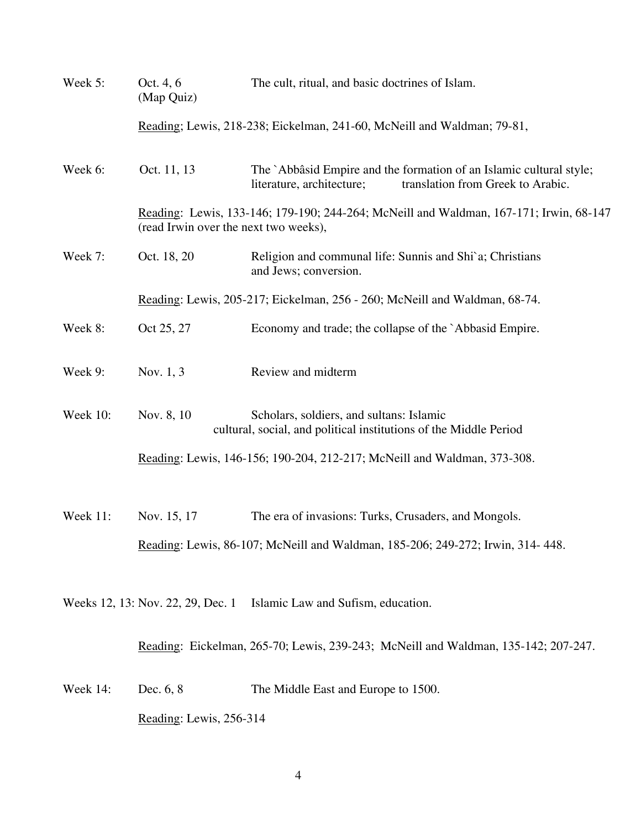| Week 5:  | Oct. 4, 6<br>(Map Quiz)                                                                                                         | The cult, ritual, and basic doctrines of Islam.                                                                                       |  |
|----------|---------------------------------------------------------------------------------------------------------------------------------|---------------------------------------------------------------------------------------------------------------------------------------|--|
|          | Reading; Lewis, 218-238; Eickelman, 241-60, McNeill and Waldman; 79-81,                                                         |                                                                                                                                       |  |
| Week 6:  | Oct. 11, 13                                                                                                                     | The `Abbâsid Empire and the formation of an Islamic cultural style;<br>translation from Greek to Arabic.<br>literature, architecture; |  |
|          | Reading: Lewis, 133-146; 179-190; 244-264; McNeill and Waldman, 167-171; Irwin, 68-147<br>(read Irwin over the next two weeks), |                                                                                                                                       |  |
| Week 7:  | Oct. 18, 20                                                                                                                     | Religion and communal life: Sunnis and Shi`a; Christians<br>and Jews; conversion.                                                     |  |
|          | Reading: Lewis, 205-217; Eickelman, 256 - 260; McNeill and Waldman, 68-74.                                                      |                                                                                                                                       |  |
| Week 8:  | Oct 25, 27                                                                                                                      | Economy and trade; the collapse of the `Abbasid Empire.                                                                               |  |
| Week 9:  | Nov. 1, 3                                                                                                                       | Review and midterm                                                                                                                    |  |
| Week 10: | Nov. 8, 10                                                                                                                      | Scholars, soldiers, and sultans: Islamic<br>cultural, social, and political institutions of the Middle Period                         |  |
|          | Reading: Lewis, 146-156; 190-204, 212-217; McNeill and Waldman, 373-308.                                                        |                                                                                                                                       |  |
| Week 11: | Nov. 15, 17                                                                                                                     | The era of invasions: Turks, Crusaders, and Mongols.                                                                                  |  |
|          |                                                                                                                                 | Reading: Lewis, 86-107; McNeill and Waldman, 185-206; 249-272; Irwin, 314-448.                                                        |  |
|          | Weeks 12, 13: Nov. 22, 29, Dec. 1                                                                                               | Islamic Law and Sufism, education.                                                                                                    |  |
|          |                                                                                                                                 | Reading: Eickelman, 265-70; Lewis, 239-243; McNeill and Waldman, 135-142; 207-247.                                                    |  |

Week 14: Dec. 6, 8 The Middle East and Europe to 1500. Reading: Lewis, 256-314